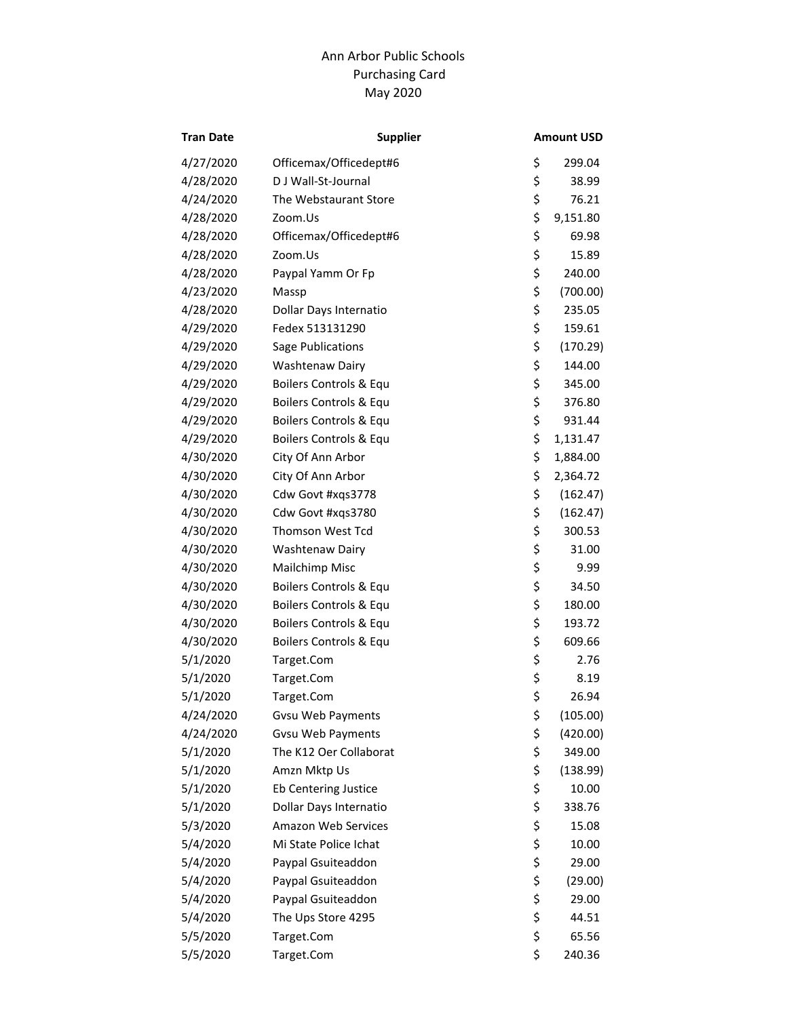## Purchasing Card Ann Arbor Public Schools May 2020

| <b>Tran Date</b> | <b>Supplier</b>          | <b>Amount USD</b> |
|------------------|--------------------------|-------------------|
| 4/27/2020        | Officemax/Officedept#6   | \$<br>299.04      |
| 4/28/2020        | D J Wall-St-Journal      | \$<br>38.99       |
| 4/24/2020        | The Webstaurant Store    | \$<br>76.21       |
| 4/28/2020        | Zoom.Us                  | \$<br>9,151.80    |
| 4/28/2020        | Officemax/Officedept#6   | \$<br>69.98       |
| 4/28/2020        | Zoom.Us                  | \$<br>15.89       |
| 4/28/2020        | Paypal Yamm Or Fp        | \$<br>240.00      |
| 4/23/2020        | Massp                    | \$<br>(700.00)    |
| 4/28/2020        | Dollar Days Internatio   | \$<br>235.05      |
| 4/29/2020        | Fedex 513131290          | \$<br>159.61      |
| 4/29/2020        | Sage Publications        | \$<br>(170.29)    |
| 4/29/2020        | Washtenaw Dairy          | \$<br>144.00      |
| 4/29/2020        | Boilers Controls & Equ   | \$<br>345.00      |
| 4/29/2020        | Boilers Controls & Equ   | \$<br>376.80      |
| 4/29/2020        | Boilers Controls & Equ   | \$<br>931.44      |
| 4/29/2020        | Boilers Controls & Equ   | \$<br>1,131.47    |
| 4/30/2020        | City Of Ann Arbor        | \$<br>1,884.00    |
| 4/30/2020        | City Of Ann Arbor        | \$<br>2,364.72    |
| 4/30/2020        | Cdw Govt #xqs3778        | \$<br>(162.47)    |
| 4/30/2020        | Cdw Govt #xqs3780        | \$<br>(162.47)    |
| 4/30/2020        | Thomson West Tcd         | \$<br>300.53      |
| 4/30/2020        | Washtenaw Dairy          | \$<br>31.00       |
| 4/30/2020        | Mailchimp Misc           | \$<br>9.99        |
| 4/30/2020        | Boilers Controls & Equ   | \$<br>34.50       |
| 4/30/2020        | Boilers Controls & Equ   | \$<br>180.00      |
| 4/30/2020        | Boilers Controls & Equ   | \$<br>193.72      |
| 4/30/2020        | Boilers Controls & Equ   | \$<br>609.66      |
| 5/1/2020         | Target.Com               | \$<br>2.76        |
| 5/1/2020         | Target.Com               | \$<br>8.19        |
| 5/1/2020         | Target.Com               | \$<br>26.94       |
| 4/24/2020        | Gvsu Web Payments        | \$<br>(105.00)    |
| 4/24/2020        | <b>Gvsu Web Payments</b> | \$<br>(420.00)    |
| 5/1/2020         | The K12 Oer Collaborat   | \$<br>349.00      |
| 5/1/2020         | Amzn Mktp Us             | \$<br>(138.99)    |
| 5/1/2020         | Eb Centering Justice     | \$<br>10.00       |
| 5/1/2020         | Dollar Days Internatio   | \$<br>338.76      |
| 5/3/2020         | Amazon Web Services      | \$<br>15.08       |
| 5/4/2020         | Mi State Police Ichat    | \$<br>10.00       |
| 5/4/2020         | Paypal Gsuiteaddon       | \$<br>29.00       |
| 5/4/2020         | Paypal Gsuiteaddon       | \$<br>(29.00)     |
| 5/4/2020         | Paypal Gsuiteaddon       | \$<br>29.00       |
| 5/4/2020         | The Ups Store 4295       | \$<br>44.51       |
| 5/5/2020         | Target.Com               | \$<br>65.56       |
| 5/5/2020         | Target.Com               | \$<br>240.36      |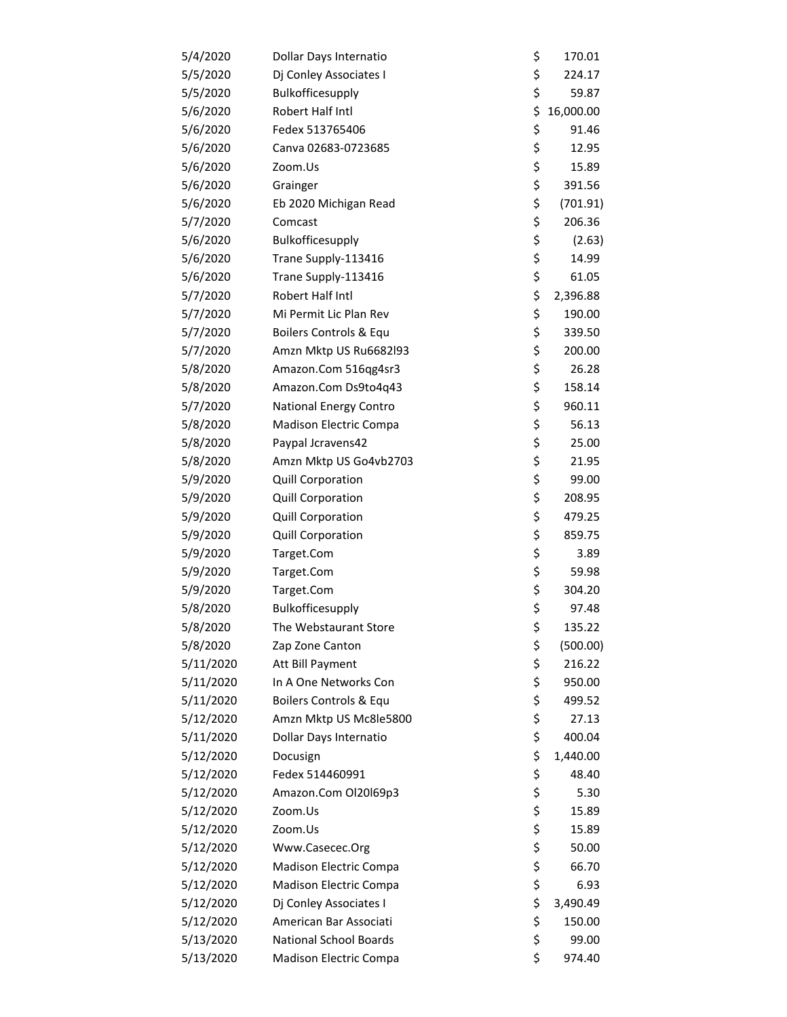| 5/4/2020  | Dollar Days Internatio        | \$<br>170.01    |
|-----------|-------------------------------|-----------------|
| 5/5/2020  | Dj Conley Associates I        | \$<br>224.17    |
| 5/5/2020  | Bulkofficesupply              | \$<br>59.87     |
| 5/6/2020  | Robert Half Intl              | \$<br>16,000.00 |
| 5/6/2020  | Fedex 513765406               | \$<br>91.46     |
| 5/6/2020  | Canva 02683-0723685           | \$<br>12.95     |
| 5/6/2020  | Zoom.Us                       | \$<br>15.89     |
| 5/6/2020  | Grainger                      | \$<br>391.56    |
| 5/6/2020  | Eb 2020 Michigan Read         | \$<br>(701.91)  |
| 5/7/2020  | Comcast                       | \$<br>206.36    |
| 5/6/2020  | Bulkofficesupply              | \$<br>(2.63)    |
| 5/6/2020  | Trane Supply-113416           | \$<br>14.99     |
| 5/6/2020  | Trane Supply-113416           | \$<br>61.05     |
| 5/7/2020  | Robert Half Intl              | \$<br>2,396.88  |
| 5/7/2020  | Mi Permit Lic Plan Rev        | \$<br>190.00    |
| 5/7/2020  | Boilers Controls & Equ        | \$<br>339.50    |
| 5/7/2020  | Amzn Mktp US Ru6682l93        | \$<br>200.00    |
| 5/8/2020  | Amazon.Com 516qg4sr3          | \$<br>26.28     |
| 5/8/2020  | Amazon.Com Ds9to4q43          | \$<br>158.14    |
| 5/7/2020  | <b>National Energy Contro</b> | \$<br>960.11    |
| 5/8/2020  | Madison Electric Compa        | \$<br>56.13     |
| 5/8/2020  | Paypal Jcravens42             | \$<br>25.00     |
| 5/8/2020  | Amzn Mktp US Go4vb2703        | \$<br>21.95     |
| 5/9/2020  | Quill Corporation             | \$<br>99.00     |
| 5/9/2020  | Quill Corporation             | \$<br>208.95    |
| 5/9/2020  | <b>Quill Corporation</b>      | \$<br>479.25    |
| 5/9/2020  | <b>Quill Corporation</b>      | \$<br>859.75    |
| 5/9/2020  | Target.Com                    | \$<br>3.89      |
| 5/9/2020  | Target.Com                    | \$<br>59.98     |
| 5/9/2020  | Target.Com                    | \$<br>304.20    |
| 5/8/2020  | Bulkofficesupply              | \$<br>97.48     |
| 5/8/2020  | The Webstaurant Store         | \$<br>135.22    |
| 5/8/2020  | Zap Zone Canton               | \$<br>(500.00)  |
| 5/11/2020 | Att Bill Payment              | \$<br>216.22    |
| 5/11/2020 | In A One Networks Con         | \$<br>950.00    |
| 5/11/2020 | Boilers Controls & Equ        | \$<br>499.52    |
| 5/12/2020 | Amzn Mktp US Mc8le5800        | \$<br>27.13     |
| 5/11/2020 | Dollar Days Internatio        | \$<br>400.04    |
| 5/12/2020 | Docusign                      | \$<br>1,440.00  |
| 5/12/2020 | Fedex 514460991               | \$<br>48.40     |
| 5/12/2020 | Amazon.Com Ol20169p3          | \$<br>5.30      |
| 5/12/2020 | Zoom.Us                       | \$<br>15.89     |
| 5/12/2020 | Zoom.Us                       | \$<br>15.89     |
| 5/12/2020 | Www.Casecec.Org               | \$<br>50.00     |
| 5/12/2020 | Madison Electric Compa        | \$<br>66.70     |
| 5/12/2020 | Madison Electric Compa        | \$<br>6.93      |
| 5/12/2020 | Dj Conley Associates I        | \$<br>3,490.49  |
| 5/12/2020 | American Bar Associati        | \$<br>150.00    |
| 5/13/2020 | <b>National School Boards</b> | \$<br>99.00     |
| 5/13/2020 | Madison Electric Compa        | \$<br>974.40    |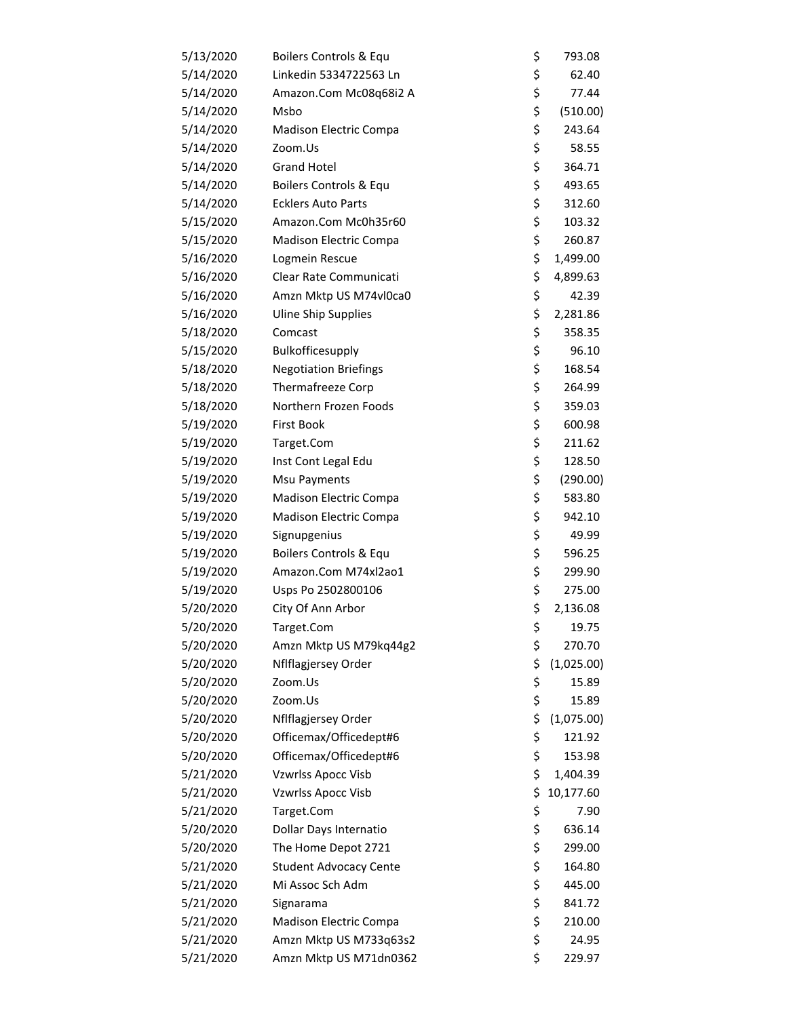| 5/13/2020 | Boilers Controls & Equ        | \$<br>793.08     |
|-----------|-------------------------------|------------------|
| 5/14/2020 | Linkedin 5334722563 Ln        | \$<br>62.40      |
| 5/14/2020 | Amazon.Com Mc08q68i2 A        | \$<br>77.44      |
| 5/14/2020 | Msbo                          | \$<br>(510.00)   |
| 5/14/2020 | Madison Electric Compa        | \$<br>243.64     |
| 5/14/2020 | Zoom.Us                       | \$<br>58.55      |
| 5/14/2020 | <b>Grand Hotel</b>            | \$<br>364.71     |
| 5/14/2020 | Boilers Controls & Equ        | \$<br>493.65     |
| 5/14/2020 | <b>Ecklers Auto Parts</b>     | \$<br>312.60     |
| 5/15/2020 | Amazon.Com Mc0h35r60          | \$<br>103.32     |
| 5/15/2020 | Madison Electric Compa        | \$<br>260.87     |
| 5/16/2020 | Logmein Rescue                | \$<br>1,499.00   |
| 5/16/2020 | Clear Rate Communicati        | \$<br>4,899.63   |
| 5/16/2020 | Amzn Mktp US M74vl0ca0        | \$<br>42.39      |
| 5/16/2020 | <b>Uline Ship Supplies</b>    | \$<br>2,281.86   |
| 5/18/2020 | Comcast                       | \$<br>358.35     |
| 5/15/2020 | Bulkofficesupply              | \$<br>96.10      |
| 5/18/2020 | <b>Negotiation Briefings</b>  | \$<br>168.54     |
| 5/18/2020 | Thermafreeze Corp             | \$<br>264.99     |
| 5/18/2020 | Northern Frozen Foods         | \$<br>359.03     |
| 5/19/2020 | <b>First Book</b>             | \$<br>600.98     |
| 5/19/2020 | Target.Com                    | \$<br>211.62     |
| 5/19/2020 | Inst Cont Legal Edu           | \$<br>128.50     |
| 5/19/2020 | Msu Payments                  | \$<br>(290.00)   |
| 5/19/2020 | Madison Electric Compa        | \$<br>583.80     |
| 5/19/2020 | Madison Electric Compa        | \$<br>942.10     |
| 5/19/2020 | Signupgenius                  | \$<br>49.99      |
| 5/19/2020 | Boilers Controls & Equ        | \$<br>596.25     |
| 5/19/2020 | Amazon.Com M74xl2ao1          | \$<br>299.90     |
| 5/19/2020 | Usps Po 2502800106            | \$<br>275.00     |
| 5/20/2020 | City Of Ann Arbor             | \$<br>2,136.08   |
| 5/20/2020 | Target.Com                    | \$<br>19.75      |
| 5/20/2020 | Amzn Mktp US M79kq44g2        | \$<br>270.70     |
| 5/20/2020 | Nflflagjersey Order           | \$<br>(1,025.00) |
| 5/20/2020 | Zoom.Us                       | \$<br>15.89      |
| 5/20/2020 | Zoom.Us                       | \$<br>15.89      |
| 5/20/2020 | Nflflagjersey Order           | \$<br>(1,075.00) |
| 5/20/2020 | Officemax/Officedept#6        | \$<br>121.92     |
| 5/20/2020 | Officemax/Officedept#6        | \$<br>153.98     |
| 5/21/2020 | Vzwrlss Apocc Visb            | \$<br>1,404.39   |
| 5/21/2020 | <b>Vzwrlss Apocc Visb</b>     | \$<br>10,177.60  |
| 5/21/2020 | Target.Com                    | \$<br>7.90       |
| 5/20/2020 | Dollar Days Internatio        | \$<br>636.14     |
| 5/20/2020 | The Home Depot 2721           | \$<br>299.00     |
| 5/21/2020 | <b>Student Advocacy Cente</b> | \$<br>164.80     |
| 5/21/2020 | Mi Assoc Sch Adm              | \$<br>445.00     |
| 5/21/2020 | Signarama                     | \$<br>841.72     |
| 5/21/2020 | Madison Electric Compa        | \$<br>210.00     |
| 5/21/2020 | Amzn Mktp US M733q63s2        | \$<br>24.95      |
| 5/21/2020 | Amzn Mktp US M71dn0362        | \$<br>229.97     |